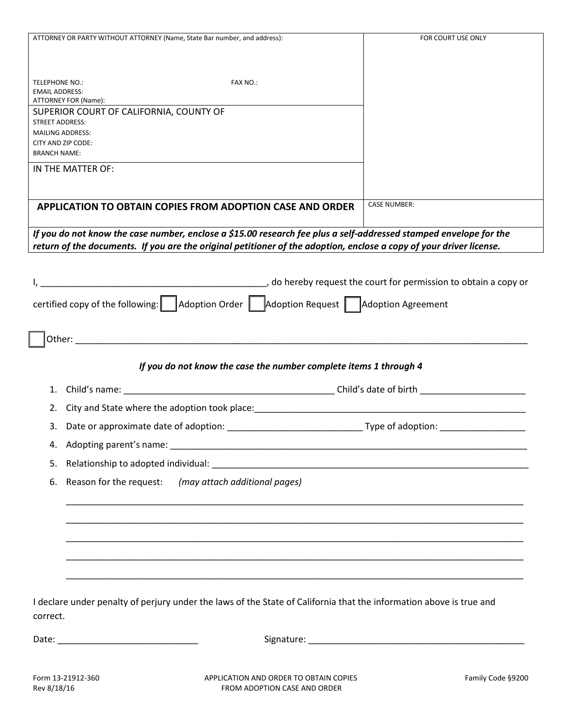| ATTORNEY OR PARTY WITHOUT ATTORNEY (Name, State Bar number, and address):                                                                                                | FOR COURT USE ONLY  |
|--------------------------------------------------------------------------------------------------------------------------------------------------------------------------|---------------------|
|                                                                                                                                                                          |                     |
|                                                                                                                                                                          |                     |
| FAX NO.:<br><b>TELEPHONE NO.:</b>                                                                                                                                        |                     |
| <b>EMAIL ADDRESS:</b><br>ATTORNEY FOR (Name):                                                                                                                            |                     |
| SUPERIOR COURT OF CALIFORNIA, COUNTY OF                                                                                                                                  |                     |
| <b>STREET ADDRESS:</b>                                                                                                                                                   |                     |
| <b>MAILING ADDRESS:</b><br>CITY AND ZIP CODE:                                                                                                                            |                     |
| <b>BRANCH NAME:</b>                                                                                                                                                      |                     |
| IN THE MATTER OF:                                                                                                                                                        |                     |
|                                                                                                                                                                          |                     |
| <b>APPLICATION TO OBTAIN COPIES FROM ADOPTION CASE AND ORDER</b>                                                                                                         | <b>CASE NUMBER:</b> |
|                                                                                                                                                                          |                     |
| If you do not know the case number, enclose a \$15.00 research fee plus a self-addressed stamped envelope for the                                                        |                     |
| return of the documents. If you are the original petitioner of the adoption, enclose a copy of your driver license.                                                      |                     |
|                                                                                                                                                                          |                     |
| do hereby request the court for permission to obtain a copy or (do hereby request the court for permission to obtain a copy or                                           |                     |
|                                                                                                                                                                          |                     |
| certified copy of the following: $\begin{array}{ c c c c c }\n\hline\n\end{array}$ Adoption Request $\begin{array}{ c c c c c }\n\hline\n\end{array}$ Adoption Agreement |                     |
|                                                                                                                                                                          |                     |
|                                                                                                                                                                          |                     |
| If you do not know the case the number complete items 1 through 4                                                                                                        |                     |
|                                                                                                                                                                          |                     |
| 2.                                                                                                                                                                       |                     |
| 3.                                                                                                                                                                       |                     |
| 4. Adopting parent's name:                                                                                                                                               |                     |
| 5.                                                                                                                                                                       |                     |
| Reason for the request: (may attach additional pages)<br>6.                                                                                                              |                     |
|                                                                                                                                                                          |                     |
|                                                                                                                                                                          |                     |
|                                                                                                                                                                          |                     |
|                                                                                                                                                                          |                     |
|                                                                                                                                                                          |                     |
|                                                                                                                                                                          |                     |
|                                                                                                                                                                          |                     |
| I declare under penalty of perjury under the laws of the State of California that the information above is true and                                                      |                     |
|                                                                                                                                                                          |                     |
| correct.                                                                                                                                                                 |                     |